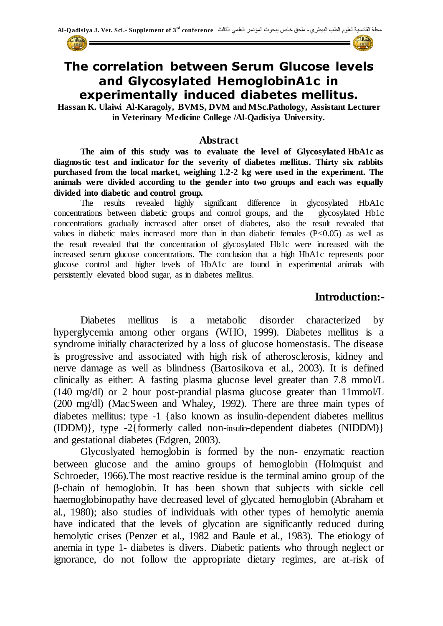



## **The correlation between Serum Glucose levels and Glycosylated HemoglobinA1c in experimentally induced diabetes mellitus.**

**Hassan K. Ulaiwi Al-Karagoly, BVMS, DVM and MSc.Pathology, Assistant Lecturer in Veterinary Medicine College /Al-Qadisiya University.**

#### **Abstract**

**The aim of this study was to evaluate the level of Glycosylated HbA1c as diagnostic test and indicator for the severity of diabetes mellitus. Thirty six rabbits purchased from the local market, weighing 1.2-2 kg were used in the experiment. The animals were divided according to the gender into two groups and each was equally divided into diabetic and control group.**

The results revealed highly significant difference in glycosylated HbA1c concentrations between diabetic groups and control groups, and the glycosylated Hb1c concentrations gradually increased after onset of diabetes, also the result revealed that values in diabetic males increased more than in than diabetic females (P<0.05) as well as the result revealed that the concentration of glycosylated Hb1c were increased with the increased serum glucose concentrations. The conclusion that a high HbA1c represents poor glucose control and higher levels of HbA1c are found in experimental animals with persistently elevated blood sugar, as in [diabetes mellitus.](http://en.wikipedia.org/wiki/Diabetes_mellitus)

### **Introduction:-**

Diabetes mellitus is a metabolic disorder characterized by hyperglycemia among other organs (WHO, 1999). Diabetes mellitus is a syndrome initially characterized by a loss of glucose homeostasis. The disease is progressive and associated with high risk of atherosclerosis, kidney and nerve damage as well as blindness (Bartosikova et al., 2003). It is defined clinically as either: A fasting plasma glucose level greater than 7.8 mmol/L (140 mg/dl) or 2 hour post-prandial plasma glucose greater than 11mmol/L (200 mg/dl) (MacSween and Whaley, 1992). There are three main types of diabetes mellitus: type -1 {also known as insulin-dependent diabetes mellitus (IDDM)}, type -2{formerly called non-[insulin](http://en.wikipedia.org/wiki/Insulin)-dependent diabetes (NIDDM)} and gestational diabetes (Edgren, 2003).

Glycoslyated hemoglobin is formed by the non- enzymatic reaction between glucose and the amino groups of hemoglobin (Holmquist and Schroeder, 1966).The most reactive residue is the terminal amino group of the β-chain of hemoglobin. It has been shown that subjects with sickle cell haemoglobinopathy have decreased level of glycated hemoglobin (Abraham et al., 1980); also studies of individuals with other types of hemolytic anemia have indicated that the levels of glycation are significantly reduced during hemolytic crises (Penzer et al., 1982 and Baule et al., 1983). The etiology of anemia in type 1- diabetes is divers. Diabetic patients who through neglect or ignorance, do not follow the appropriate dietary regimes, are at-risk of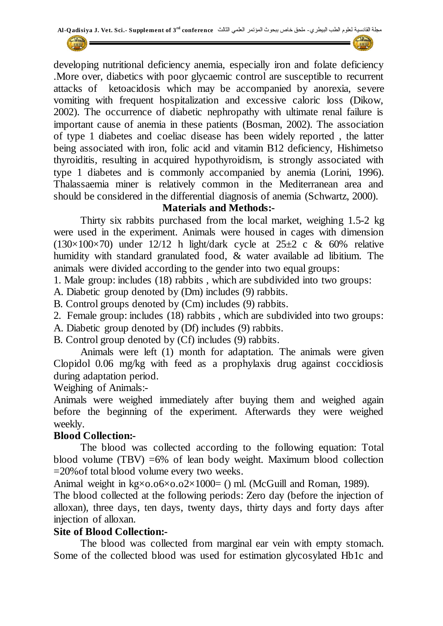developing nutritional deficiency anemia, especially iron and folate deficiency .More over, diabetics with poor glycaemic control are susceptible to recurrent attacks of ketoacidosis which may be accompanied by anorexia, severe vomiting with frequent hospitalization and excessive caloric loss (Dikow, 2002). The occurrence of diabetic nephropathy with ultimate renal failure is important cause of anemia in these patients (Bosman, 2002). The association of type 1 diabetes and coeliac disease has been widely reported , the latter being associated with iron, folic acid and vitamin B12 deficiency, Hishimetso thyroiditis, resulting in acquired hypothyroidism, is strongly associated with type 1 diabetes and is commonly accompanied by anemia (Lorini, 1996). Thalassaemia miner is relatively common in the Mediterranean area and should be considered in the differential diagnosis of anemia (Schwartz, 2000).

#### **Materials and Methods:-**

Thirty six rabbits purchased from the local market, weighing 1.5-2 kg were used in the experiment. Animals were housed in cages with dimension  $(130\times100\times70)$  under 12/12 h light/dark cycle at 25 $\pm$ 2 c & 60% relative humidity with standard granulated food, & water available ad libitium. The animals were divided according to the gender into two equal groups:

1. Male group: includes (18) rabbits , which are subdivided into two groups:

A. Diabetic group denoted by (Dm) includes (9) rabbits.

B. Control groups denoted by (Cm) includes (9) rabbits.

2. Female group: includes (18) rabbits , which are subdivided into two groups:

A. Diabetic group denoted by (Df) includes (9) rabbits.

B. Control group denoted by (Cf) includes (9) rabbits.

Animals were left (1) month for adaptation. The animals were given Clopidol 0.06 mg/kg with feed as a prophylaxis drug against coccidiosis during adaptation period.

Weighing of Animals:-

Animals were weighed immediately after buying them and weighed again before the beginning of the experiment. Afterwards they were weighed weekly.

#### **Blood Collection:-**

The blood was collected according to the following equation: Total blood volume (TBV) =6% of lean body weight. Maximum blood collection =20%of total blood volume every two weeks.

Animal weight in  $kg \times 0.06 \times 0.02 \times 1000 =$  () ml. (McGuill and Roman, 1989).

The blood collected at the following periods: Zero day (before the injection of alloxan), three days, ten days, twenty days, thirty days and forty days after injection of alloxan.

#### **Site of Blood Collection:-**

The blood was collected from marginal ear vein with empty stomach. Some of the collected blood was used for estimation glycosylated Hb1c and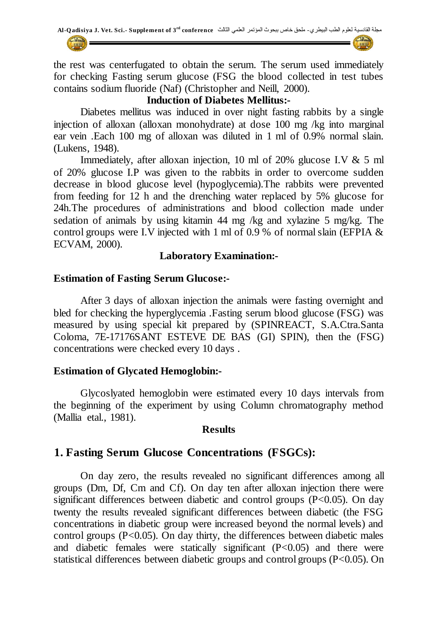the rest was centerfugated to obtain the serum. The serum used immediately for checking Fasting serum glucose (FSG the blood collected in test tubes contains sodium fluoride (Naf) (Christopher and Neill, 2000).

#### **Induction of Diabetes Mellitus:-**

Diabetes mellitus was induced in over night fasting rabbits by a single injection of alloxan (alloxan monohydrate) at dose 100 mg /kg into marginal ear vein .Each 100 mg of alloxan was diluted in 1 ml of 0.9% normal slain. (Lukens, 1948).

Immediately, after alloxan injection, 10 ml of 20% glucose I.V & 5 ml of 20% glucose I.P was given to the rabbits in order to overcome sudden decrease in blood glucose level (hypoglycemia).The rabbits were prevented from feeding for 12 h and the drenching water replaced by 5% glucose for 24h.The procedures of administrations and blood collection made under sedation of animals by using kitamin 44 mg /kg and xylazine 5 mg/kg. The control groups were I.V injected with 1 ml of 0.9 % of normal slain (EFPIA & ECVAM, 2000).

#### **Laboratory Examination:-**

#### **Estimation of Fasting Serum Glucose:-**

After 3 days of alloxan injection the animals were fasting overnight and bled for checking the hyperglycemia .Fasting serum blood glucose (FSG) was measured by using special kit prepared by (SPINREACT, S.A.Ctra.Santa Coloma, 7E-17176SANT ESTEVE DE BAS (GI) SPIN), then the (FSG) concentrations were checked every 10 days .

#### **Estimation of Glycated Hemoglobin:-**

Glycoslyated hemoglobin were estimated every 10 days intervals from the beginning of the experiment by using Column chromatography method (Mallia etal., 1981).

#### **Results**

#### **1. Fasting Serum Glucose Concentrations (FSGCs):**

On day zero, the results revealed no significant differences among all groups (Dm, Df, Cm and Cf). On day ten after alloxan injection there were significant differences between diabetic and control groups  $(P<0.05)$ . On day twenty the results revealed significant differences between diabetic (the FSG concentrations in diabetic group were increased beyond the normal levels) and control groups  $(P<0.05)$ . On day thirty, the differences between diabetic males and diabetic females were statically significant  $(P<0.05)$  and there were statistical differences between diabetic groups and control groups (P<0.05). On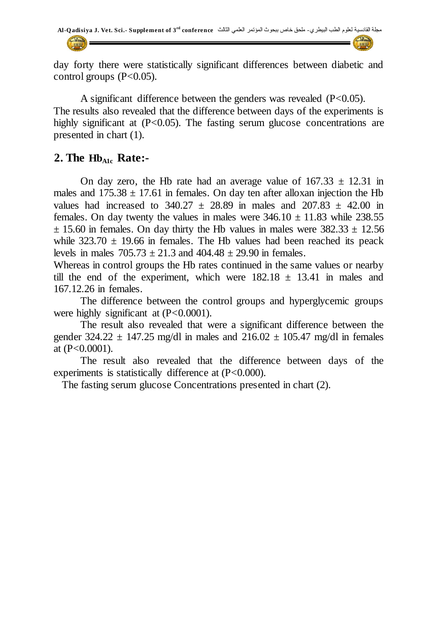

day forty there were statistically significant differences between diabetic and control groups  $(P<0.05)$ .

A significant difference between the genders was revealed (P<0.05). The results also revealed that the difference between days of the experiments is highly significant at  $(P<0.05)$ . The fasting serum glucose concentrations are presented in chart (1).

### **2. The HbA1c Rate:-**

On day zero, the Hb rate had an average value of  $167.33 \pm 12.31$  in males and  $175.38 \pm 17.61$  in females. On day ten after alloxan injection the Hb values had increased to  $340.27 \pm 28.89$  in males and  $207.83 \pm 42.00$  in females. On day twenty the values in males were  $346.10 \pm 11.83$  while 238.55  $\pm$  15.60 in females. On day thirty the Hb values in males were 382.33  $\pm$  12.56 while  $323.70 \pm 19.66$  in females. The Hb values had been reached its peack levels in males  $705.73 \pm 21.3$  and  $404.48 \pm 29.90$  in females.

Whereas in control groups the Hb rates continued in the same values or nearby till the end of the experiment, which were  $182.18 \pm 13.41$  in males and 167.12.26 in females.

The difference between the control groups and hyperglycemic groups were highly significant at  $(P<0.0001)$ .

The result also revealed that were a significant difference between the gender  $324.22 \pm 147.25$  mg/dl in males and  $216.02 \pm 105.47$  mg/dl in females at  $(P<0.0001)$ .

The result also revealed that the difference between days of the experiments is statistically difference at  $(P<0.000)$ .

The fasting serum glucose Concentrations presented in chart (2).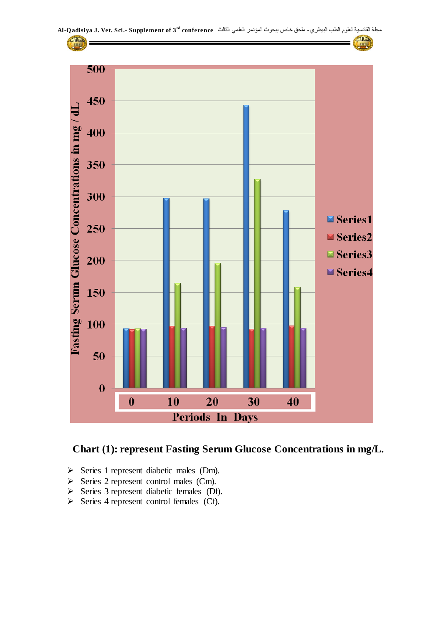

#### **Chart (1): represent Fasting Serum Glucose Concentrations in mg/L.**

- Series 1 represent diabetic males (Dm).
- $\triangleright$  Series 2 represent control males (Cm).
- $\triangleright$  Series 3 represent diabetic females (Df).
- $\triangleright$  Series 4 represent control females (Cf).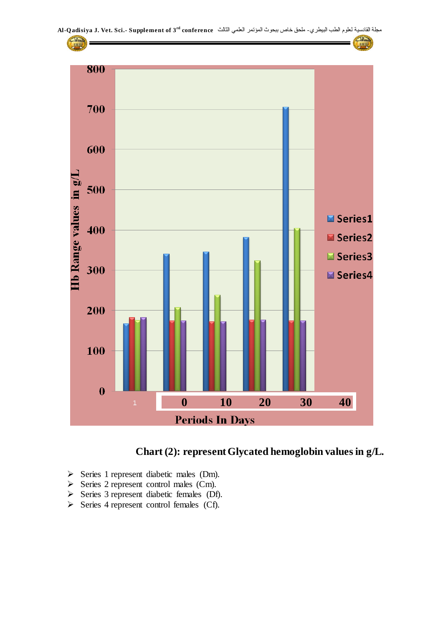



- Series 1 represent diabetic males (Dm).
- $\triangleright$  Series 2 represent control males (Cm).
- $\triangleright$  Series 3 represent diabetic females (Df).
- $\triangleright$  Series 4 represent control females (Cf).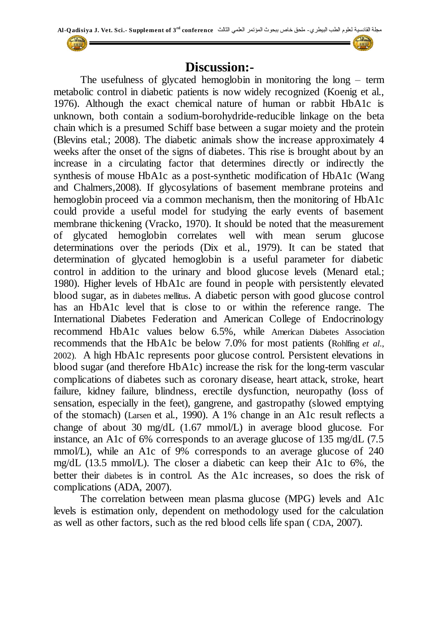## **Discussion:-**

The usefulness of glycated hemoglobin in monitoring the long – term metabolic control in diabetic patients is now widely recognized (Koenig et al., 1976). Although the exact chemical nature of human or rabbit HbA1c is unknown, both contain a sodium-borohydride-reducible linkage on the beta chain which is a presumed Schiff base between a sugar moiety and the protein (Blevins etal.; 2008). The diabetic animals show the increase approximately 4 weeks after the onset of the signs of diabetes. This rise is brought about by an increase in a circulating factor that determines directly or indirectly the synthesis of mouse HbA1c as a post-synthetic modification of HbA1c (Wang and Chalmers,2008). If glycosylations of basement membrane proteins and hemoglobin proceed via a common mechanism, then the monitoring of HbA1c could provide a useful model for studying the early events of basement membrane thickening (Vracko, 1970). It should be noted that the measurement of glycated hemoglobin correlates well with mean serum glucose determinations over the periods (Dix et al., 1979). It can be stated that determination of glycated hemoglobin is a useful parameter for diabetic control in addition to the urinary and blood glucose levels (Menard etal.; 1980). Higher levels of HbA1c are found in people with persistently elevated blood sugar, as in [diabetes mellitus](http://en.wikipedia.org/wiki/Diabetes_mellitus). A diabetic person with good glucose control has an HbA1c level that is close to or within the reference range. The International Diabetes Federation and American College of Endocrinology recommend HbA1c values below 6.5%, while [American Diabetes Association](http://en.wikipedia.org/wiki/American_Diabetes_Association) recommends that the HbA1c be below 7.0% for most patients (Rohlfing *et al*., 2002). A high HbA1c represents poor glucose control. Persistent elevations in blood sugar (and therefore HbA1c) increase the risk for the long-term vascular complications of diabetes such as coronary disease, heart attack, stroke, heart failure, kidney failure, blindness, erectile dysfunction, neuropathy (loss of sensation, especially in the feet), gangrene, and gastropathy (slowed emptying of the stomach) (Larsen et al., 1990). A 1% change in an A1c result reflects a change of about 30 mg/dL (1.67 mmol/L) in average blood glucose. For instance, an A1c of 6% corresponds to an average glucose of 135 mg/dL (7.5 mmol/L), while an A1c of 9% corresponds to an average glucose of 240 mg/dL (13.5 mmol/L). The closer a diabetic can keep their A1c to 6%, the better their [diabetes](http://www.labtestsonline.org/understanding/conditions/diabetes.html) is in control. As the A1c increases, so does the risk of complications (ADA, 2007).

The correlation between mean plasma glucose (MPG) levels and A1c levels is estimation only, dependent on methodology used for the calculation as well as other factors, such as the red blood cells life span ( [CDA](http://www.medicinenet.com/script/main/art.asp?articlekey=11026), 2007).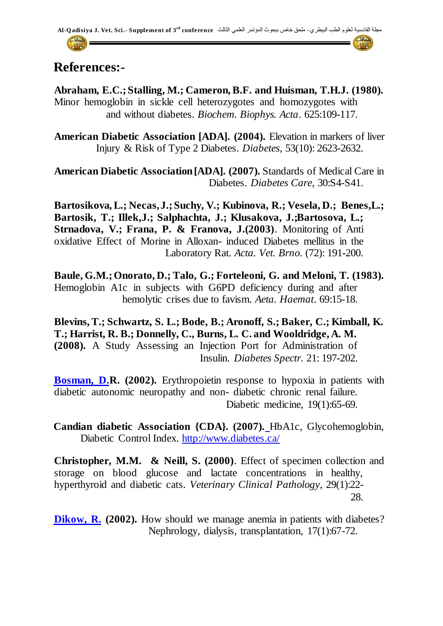## **References:-**

**Abraham, E.C.; Stalling, M.; Cameron, B.F. and Huisman, T.H.J. (1980).** Minor hemoglobin in sickle cell heterozygotes and homozygotes with and without diabetes. *Biochem. Biophys. Acta*. 625:109-117.

**American Diabetic Association [ADA]. (2004).** Elevation in markers of liver Injury & Risk of Type 2 Diabetes. *Diabetes*, 53(10): 2623-2632.

**American Diabetic Association [ADA]. (2007).** Standards of Medical Care in Diabetes. *Diabetes Care,* 30:S4-S41.

**Bartosikova, L.; Necas, J.; Suchy, V.; Kubinova, R.; Vesela, D.; Benes,L.; Bartosik, T.; Illek,J.; Salphachta, J.; Klusakova, J.;Bartosova, L.; Strnadova, V.; Frana, P. & Franova, J.(2003)**. Monitoring of Anti oxidative Effect of Morine in Alloxan- induced Diabetes mellitus in the Laboratory Rat. *Acta. Vet. Brno*. (72): 191-200.

**Baule, G.M.; Onorato, D.; Talo, G.; Forteleoni, G. and Meloni, T. (1983).** Hemoglobin A1c in subjects with G6PD deficiency during and after hemolytic crises due to favism. *Aeta. Haemat*. 69:15-18.

**Blevins, T.; Schwartz, S. L.; Bode, B.; Aronoff, S.; Baker, C.; Kimball, K. T.; Harrist, R. B.; Donnelly, C., Burns, L. C. and Wooldridge, A. M. (2008).** A Study Assessing an Injection Port for Administration of Insulin. *Diabetes Spectr.* 21: 197-202.

**Bosman, D.R. (2002).** Erythropoietin response to hypoxia in patients with diabetic autonomic neuropathy and non- diabetic chronic renal failure. Diabetic medicine, 19(1):65-69.

**Candian diabetic Association {CDA}. (2007).** HbA1c, Glycohemoglobin, Diabetic Control Index. <http://www.diabetes.ca/>

**Christopher, M.M. & Neill, S. (2000)**. Effect of specimen collection and storage on blood glucose and lactate concentrations in healthy, hyperthyroid and diabetic cats. *Veterinary Clinical Pathology*, 29(1):22- 28.

**Dikow, R.** (2002). How should we manage anemia in patients with diabetes? Nephrology, dialysis, transplantation, 17(1):67-72.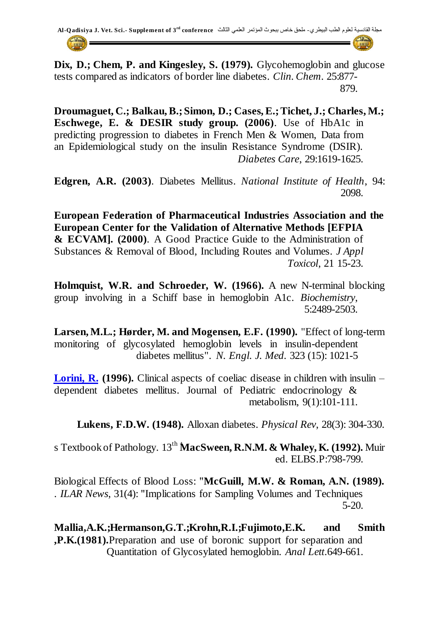**Dix, D.; Chem, P. and Kingesley, S. (1979).** Glycohemoglobin and glucose tests compared as indicators of border line diabetes. *Clin. Chem*. 25:877- 879.

**Droumaguet, C.; Balkau, B.; Simon, D.; Cases, E.; Tichet, J.; Charles, M.; Eschwege, E. & DESIR study group. (2006)**. Use of HbA1c in predicting progression to diabetes in French Men & Women, Data from an Epidemiological study on the insulin Resistance Syndrome (DSIR). *Diabetes Care*, 29:1619-1625.

**Edgren, A.R. (2003)**. Diabetes Mellitus. *National Institute of Health*, 94: 2098.

**European Federation of Pharmaceutical Industries Association and the European Center for the Validation of Alternative Methods [EFPIA & ECVAM]. (2000)**. A Good Practice Guide to the Administration of Substances & Removal of Blood, Including Routes and Volumes. *J Appl Toxicol*, 21 15-23.

**Holmquist, W.R. and Schroeder, W. (1966).** A new N-terminal blocking group involving in a Schiff base in hemoglobin A1c. *Biochemistry*, 5:2489-2503.

**Larsen, M.L.; Hørder, M. and Mogensen, E.F. (1990).** "Effect of long-term monitoring of glycosylated hemoglobin levels in insulin-dependent diabetes mellitus". *N. Engl. J. Med.* 323 (15): 1021-5

Lorini, R. (1996). Clinical aspects of coeliac disease in children with insulin – dependent diabetes mellitus. Journal of Pediatric endocrinology & metabolism, 9(1):101-111.

**Lukens, F.D.W. (1948).** Alloxan diabetes. *Physical Rev*, 28(3): 304-330.

s Textbook of Pathology. 13<sup>th</sup> MacSween, R.N.M. & Whaley, K. (1992). Muir ed. ELBS.P:798-799.

Biological Effects of Blood Loss: "**McGuill, M.W. & Roman, A.N. (1989).** . *ILAR News*, 31(4): "Implications for Sampling Volumes and Techniques 5-20.

**Mallia,A.K.;Hermanson,G.T.;Krohn,R.I.;Fujimoto,E.K. and Smith ,P.K.(1981).**Preparation and use of boronic support for separation and Quantitation of Glycosylated hemoglobin. *Anal Lett*.649-661.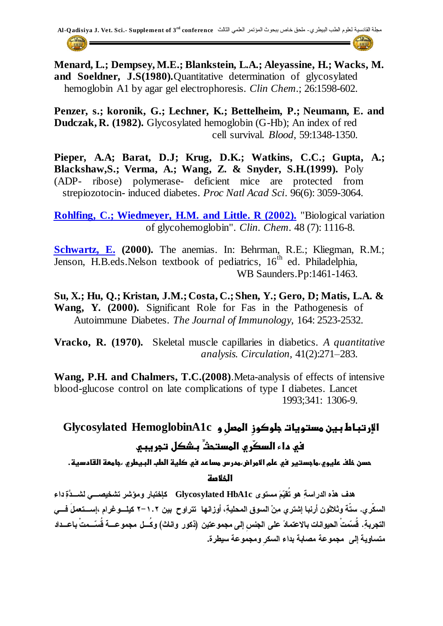**Menard, L.; Dempsey, M.E.; Blankstein, L.A.; Aleyassine, H.; Wacks, M. and Soeldner, J.S(1980).**Quantitative determination of glycosylated hemoglobin A1 by agar gel electrophoresis. *Clin Chem*.; 26:1598-602.

**Penzer, s.; koronik, G.; Lechner, K.; Bettelheim, P.; Neumann, E. and Dudczak, R. (1982).** Glycosylated hemoglobin (G-Hb); An index of red cell survival. *Blood*, 59:1348-1350.

**Pieper, A.A; Barat, D.J; Krug, D.K.; Watkins, C.C.; Gupta, A.; Blackshaw,S.; Verma, A.; Wang, Z. & Snyder, S.H.(1999).** Poly (ADP- ribose) polymerase- deficient mice are protected from strepiozotocin- induced diabetes. *Proc Natl Acad Sci*. 96(6): 3059-3064.

**Rohlfing, C.; Wiedmeyer, H.M. and Little. R (2002).** ["Biological variation](http://www.clinchem.org/cgi/content/full/48/7/1116)  [of glycohemoglobin"](http://www.clinchem.org/cgi/content/full/48/7/1116). *Clin. Chem*. 48 (7): 1116-8.

**Schwartz, E. (2000).** The anemias. In: Behrman, R.E.; Kliegman, R.M.; Jenson, H.B.eds.Nelson textbook of pediatrics, 16<sup>th</sup> ed. Philadelphia, WB Saunders.Pp:1461-1463.

**Su, X.; Hu, Q.; Kristan, J.M.; Costa, C.; Shen, Y.; Gero, D; Matis, L.A. & Wang, Y. (2000).** Significant Role for Fas in the Pathogenesis of Autoimmune Diabetes. *The Journal of Immunology,* 164: 2523-2532.

**Vracko, R. (1970).** Skeletal muscle capillaries in diabetics. *A quantitative analysis. Circulation,* 41(2):271–283.

**Wang, P.H. and Chalmers, T.C.(2008)**.Meta-analysis of effects of intensive blood-glucose control on late complications of type I diabetes. Lancet 1993;341: 1306-9.

# **اإلرتباط بين مدتويات جلوكوزِ المصلِ و c1HemoglobinA Glycosylated في داء الدكّري المدتحّثِ بذكل تجريبي**

حسن خلف عليوي،ماجستير في علم الأمراض،مدرس مساعد في كلية الطب البيطري ،جامعة القادسية.

**الخالصة**

 **Glycosylated HbA1c**  السكّرى. ستّة وثلاثون أرنبا إشترى مِنْ السوق المحليةِ، أوزانها تتراوح بين ١.٢–٢ كيلــوغرام ،إســتعملَ فـــى التجرية. قُسّمتْ الحيوانات بالاعتمادً على الجنس إلى مجموعتين (ذكور. واناث) وكُسل مجموعـــة قُسّــمتْ باعــداد متساوية إلى مجموعة مصابة بداء السكر ومجموعة سبطرة.